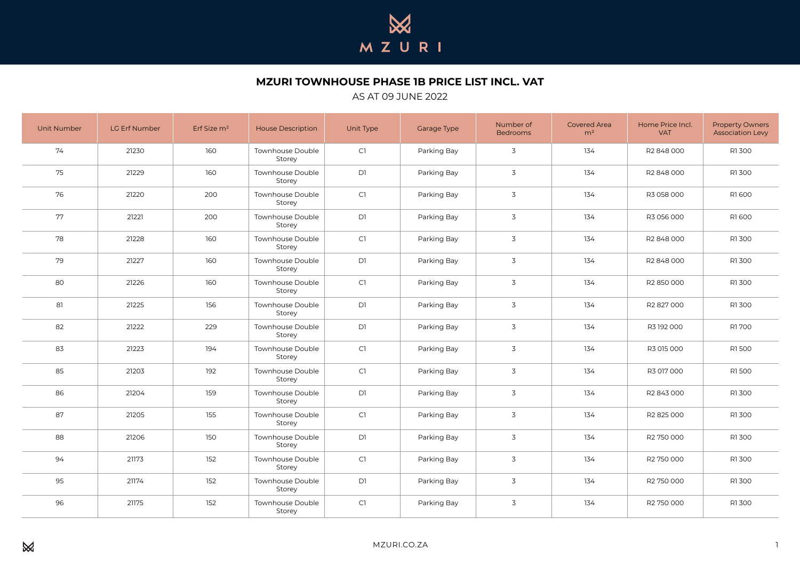

## **MZURI TOWNHOUSE PHASE 1B PRICE LIST INCL. VAT**

## AS AT 09 JUNE 2022

| Unit Number | LG Erf Number | Erf Size $m2$ | <b>House Description</b>          | Unit Type | Garage Type | Number of<br><b>Bedrooms</b> | <b>Covered Area</b><br>m <sup>2</sup> | Home Price Incl.<br><b>VAT</b> | <b>Property Owners</b><br><b>Association Levy</b> |
|-------------|---------------|---------------|-----------------------------------|-----------|-------------|------------------------------|---------------------------------------|--------------------------------|---------------------------------------------------|
| 74          | 21230         | 160           | Townhouse Double<br>Storey        | C1        | Parking Bay | 3                            | 134                                   | R2 848 000                     | R1300                                             |
| 75          | 21229         | 160           | Townhouse Double<br>Storey        | D1        | Parking Bay | $\overline{3}$               | 134                                   | R2 848 000                     | R1300                                             |
| 76          | 21220         | 200           | Townhouse Double<br>Storey        | C1        | Parking Bay | $\overline{3}$               | 134                                   | R3 058 000                     | R1600                                             |
| 77          | 21221         | 200           | Townhouse Double<br>Storey        | D1        | Parking Bay | $\overline{3}$               | 134                                   | R3 056 000                     | R1600                                             |
| 78          | 21228         | 160           | Townhouse Double<br>Storev        | C1        | Parking Bay | $\overline{3}$               | 134                                   | R2848000                       | R1300                                             |
| 79          | 21227         | 160           | Townhouse Double<br>Storey        | <b>D</b>  | Parking Bay | $\overline{3}$               | 134                                   | R2 848 000                     | R1300                                             |
| 80          | 21226         | 160           | Townhouse Double<br>Storey        | C1        | Parking Bay | $\overline{3}$               | 134                                   | R2 850 000                     | R1300                                             |
| 81          | 21225         | 156           | <b>Townhouse Double</b><br>Storey | <b>D</b>  | Parking Bay | 3                            | 134                                   | R2827000                       | R1300                                             |
| 82          | 21222         | 229           | Townhouse Double<br>Storey        | D1        | Parking Bay | $\overline{3}$               | 134                                   | R3 192 000                     | R1700                                             |
| 83          | 21223         | 194           | <b>Townhouse Double</b><br>Storey | CI        | Parking Bay | 3                            | 134                                   | R3 015 000                     | R1500                                             |
| 85          | 21203         | 192           | Townhouse Double<br>Storey        | C1        | Parking Bay | 3                            | 134                                   | R3 017 000                     | R1500                                             |
| 86          | 21204         | 159           | Townhouse Double<br>Storey        | D1        | Parking Bay | $\overline{3}$               | 134                                   | R2 843 000                     | R1300                                             |
| 87          | 21205         | 155           | <b>Townhouse Double</b><br>Storey | CI        | Parking Bay | 3                            | 134                                   | R2 825 000                     | R1300                                             |
| 88          | 21206         | 150           | Townhouse Double<br>Storey        | D1        | Parking Bay | $\overline{3}$               | 134                                   | R2 750 000                     | R1300                                             |
| 94          | 21173         | 152           | Townhouse Double<br>Storey        | C1        | Parking Bay | $\overline{3}$               | 134                                   | R2 750 000                     | R1300                                             |
| 95          | 21174         | 152           | Townhouse Double<br>Storey        | D1        | Parking Bay | 3                            | 134                                   | R2 750 000                     | R1300                                             |
| 96          | 21175         | 152           | <b>Townhouse Double</b><br>Storey | CI        | Parking Bay | $\overline{3}$               | 134                                   | R2 750 000                     | R1300                                             |